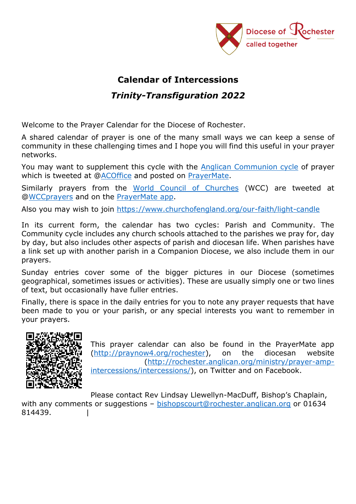

## **Calendar of Intercessions**

## *Trinity-Transfiguration 2022*

Welcome to the Prayer Calendar for the Diocese of Rochester.

A shared calendar of prayer is one of the many small ways we can keep a sense of community in these challenging times and I hope you will find this useful in your prayer networks.

You may want to supplement this cycle with the [Anglican Communion cycle](http://www.anglicancommunion.org/resources/cycle-of-prayer.aspx) of prayer which is tweeted at [@ACOffice](https://twitter.com/ACOffice) and posted on [PrayerMate.](http://praynow4.org/anglicancommunion)

Similarly prayers from the [World Council of Churches](https://www.oikoumene.org/en/resources/prayer-cycle/) (WCC) are tweeted at [@WCCprayers](https://twitter.com/WCCprayers) and on the [PrayerMate app.](http://praynow4.org/oikoumene)

Also you may wish to join<https://www.churchofengland.org/our-faith/light-candle>

In its current form, the calendar has two cycles: Parish and Community. The Community cycle includes any church schools attached to the parishes we pray for, day by day, but also includes other aspects of parish and diocesan life. When parishes have a link set up with another parish in a Companion Diocese, we also include them in our prayers.

Sunday entries cover some of the bigger pictures in our Diocese (sometimes geographical, sometimes issues or activities). These are usually simply one or two lines of text, but occasionally have fuller entries.

Finally, there is space in the daily entries for you to note any prayer requests that have been made to you or your parish, or any special interests you want to remember in your prayers.



This prayer calendar can also be found in the PrayerMate app [\(http://praynow4.org/rochester\)](http://praynow4.org/rochester), on the diocesan website [\(http://rochester.anglican.org/ministry/prayer-amp](http://rochester.anglican.org/ministry/prayer-amp-intercessions/intercessions/)[intercessions/intercessions/\)](http://rochester.anglican.org/ministry/prayer-amp-intercessions/intercessions/), on Twitter and on Facebook.

Please contact Rev Lindsay Llewellyn-MacDuff, Bishop's Chaplain, with any comments or suggestions – [bishopscourt@rochester.anglican.org](mailto:bishopscourt@Rochester.Anglican.org) or 01634 814439. |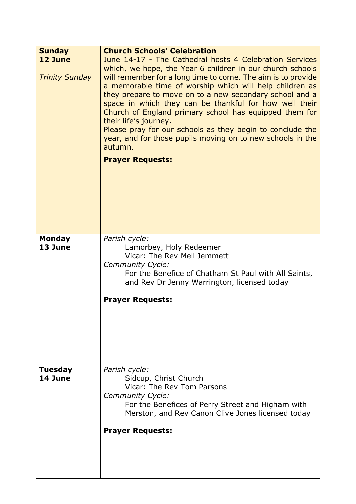| <b>Sunday</b><br>12 June<br><b>Trinity Sunday</b> | <b>Church Schools' Celebration</b><br>June 14-17 - The Cathedral hosts 4 Celebration Services<br>which, we hope, the Year 6 children in our church schools<br>will remember for a long time to come. The aim is to provide<br>a memorable time of worship which will help children as<br>they prepare to move on to a new secondary school and a<br>space in which they can be thankful for how well their<br>Church of England primary school has equipped them for<br>their life's journey.<br>Please pray for our schools as they begin to conclude the<br>year, and for those pupils moving on to new schools in the<br>autumn.<br><b>Prayer Requests:</b> |
|---------------------------------------------------|----------------------------------------------------------------------------------------------------------------------------------------------------------------------------------------------------------------------------------------------------------------------------------------------------------------------------------------------------------------------------------------------------------------------------------------------------------------------------------------------------------------------------------------------------------------------------------------------------------------------------------------------------------------|
| <b>Monday</b><br>13 June                          | Parish cycle:<br>Lamorbey, Holy Redeemer<br>Vicar: The Rev Mell Jemmett<br>Community Cycle:<br>For the Benefice of Chatham St Paul with All Saints,<br>and Rev Dr Jenny Warrington, licensed today<br><b>Prayer Requests:</b>                                                                                                                                                                                                                                                                                                                                                                                                                                  |
| <b>Tuesday</b><br>14 June                         | Parish cycle:<br>Sidcup, Christ Church<br>Vicar: The Rev Tom Parsons<br>Community Cycle:<br>For the Benefices of Perry Street and Higham with<br>Merston, and Rev Canon Clive Jones licensed today<br><b>Prayer Requests:</b>                                                                                                                                                                                                                                                                                                                                                                                                                                  |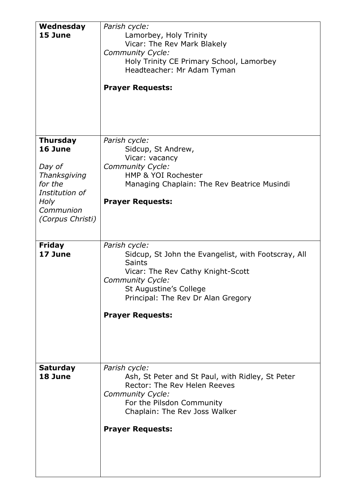| Wednesday<br>15 June       | Parish cycle:<br>Lamorbey, Holy Trinity<br>Vicar: The Rev Mark Blakely<br>Community Cycle:<br>Holy Trinity CE Primary School, Lamorbey |
|----------------------------|----------------------------------------------------------------------------------------------------------------------------------------|
|                            | Headteacher: Mr Adam Tyman                                                                                                             |
|                            | <b>Prayer Requests:</b>                                                                                                                |
| <b>Thursday</b><br>16 June | Parish cycle:<br>Sidcup, St Andrew,                                                                                                    |
|                            | Vicar: vacancy                                                                                                                         |
| Day of<br>Thanksgiving     | Community Cycle:<br>HMP & YOI Rochester                                                                                                |
| for the                    | Managing Chaplain: The Rev Beatrice Musindi                                                                                            |
| Institution of             |                                                                                                                                        |
| Holy                       | <b>Prayer Requests:</b>                                                                                                                |
| Communion                  |                                                                                                                                        |
| (Corpus Christi)           |                                                                                                                                        |
|                            |                                                                                                                                        |
| <b>Friday</b>              | Parish cycle:                                                                                                                          |
| 17 June                    | Sidcup, St John the Evangelist, with Footscray, All                                                                                    |
|                            | <b>Saints</b>                                                                                                                          |
|                            | Vicar: The Rev Cathy Knight-Scott                                                                                                      |
|                            | Community Cycle:<br>St Augustine's College                                                                                             |
|                            | Principal: The Rev Dr Alan Gregory                                                                                                     |
|                            |                                                                                                                                        |
|                            | <b>Prayer Requests:</b>                                                                                                                |
|                            |                                                                                                                                        |
|                            |                                                                                                                                        |
|                            |                                                                                                                                        |
|                            |                                                                                                                                        |
| <b>Saturday</b>            | Parish cycle:                                                                                                                          |
| 18 June                    | Ash, St Peter and St Paul, with Ridley, St Peter<br>Rector: The Rev Helen Reeves                                                       |
|                            | Community Cycle:                                                                                                                       |
|                            | For the Pilsdon Community                                                                                                              |
|                            | Chaplain: The Rev Joss Walker                                                                                                          |
|                            |                                                                                                                                        |
|                            | <b>Prayer Requests:</b>                                                                                                                |
|                            |                                                                                                                                        |
|                            |                                                                                                                                        |
|                            |                                                                                                                                        |
|                            |                                                                                                                                        |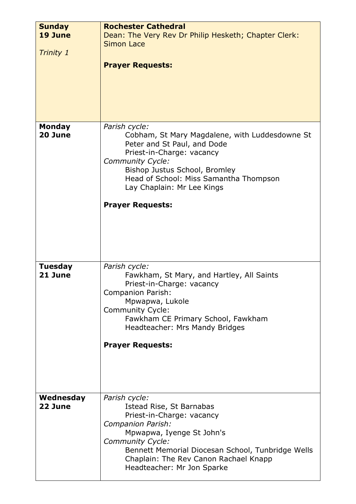| <b>Sunday</b><br>19 June  | <b>Rochester Cathedral</b><br>Dean: The Very Rev Dr Philip Hesketh; Chapter Clerk:                                                                                                                                                                                                  |
|---------------------------|-------------------------------------------------------------------------------------------------------------------------------------------------------------------------------------------------------------------------------------------------------------------------------------|
|                           | <b>Simon Lace</b>                                                                                                                                                                                                                                                                   |
| <b>Trinity 1</b>          | <b>Prayer Requests:</b>                                                                                                                                                                                                                                                             |
| <b>Monday</b><br>20 June  | Parish cycle:<br>Cobham, St Mary Magdalene, with Luddesdowne St<br>Peter and St Paul, and Dode<br>Priest-in-Charge: vacancy<br>Community Cycle:<br>Bishop Justus School, Bromley<br>Head of School: Miss Samantha Thompson<br>Lay Chaplain: Mr Lee Kings<br><b>Prayer Requests:</b> |
| <b>Tuesday</b><br>21 June | Parish cycle:<br>Fawkham, St Mary, and Hartley, All Saints<br>Priest-in-Charge: vacancy<br><b>Companion Parish:</b><br>Mpwapwa, Lukole<br><b>Community Cycle:</b><br>Fawkham CE Primary School, Fawkham<br>Headteacher: Mrs Mandy Bridges<br><b>Prayer Requests:</b>                |
| Wednesday<br>22 June      | Parish cycle:<br>Istead Rise, St Barnabas<br>Priest-in-Charge: vacancy<br>Companion Parish:<br>Mpwapwa, Iyenge St John's<br>Community Cycle:<br>Bennett Memorial Diocesan School, Tunbridge Wells<br>Chaplain: The Rev Canon Rachael Knapp<br>Headteacher: Mr Jon Sparke            |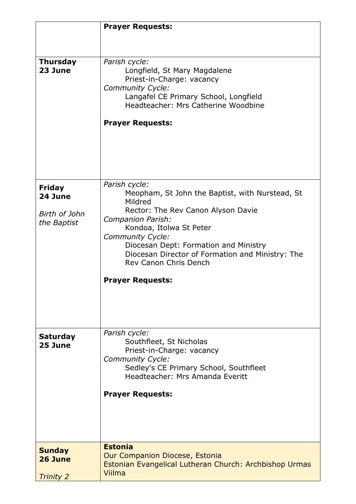|                                                   | <b>Prayer Requests:</b>                                                                                                                                                                                                                                                                                                                       |
|---------------------------------------------------|-----------------------------------------------------------------------------------------------------------------------------------------------------------------------------------------------------------------------------------------------------------------------------------------------------------------------------------------------|
|                                                   |                                                                                                                                                                                                                                                                                                                                               |
| <b>Thursday</b><br>23 June                        | Parish cycle:<br>Longfield, St Mary Magdalene<br>Priest-in-Charge: vacancy<br>Community Cycle:<br>Langafel CE Primary School, Longfield<br>Headteacher: Mrs Catherine Woodbine<br><b>Prayer Requests:</b>                                                                                                                                     |
| Friday<br>24 June<br>Birth of John<br>the Baptist | Parish cycle:<br>Meopham, St John the Baptist, with Nurstead, St<br>Mildred<br>Rector: The Rev Canon Alyson Davie<br>Companion Parish:<br>Kondoa, Itolwa St Peter<br><b>Community Cycle:</b><br>Diocesan Dept: Formation and Ministry<br>Diocesan Director of Formation and Ministry: The<br>Rev Canon Chris Dench<br><b>Prayer Requests:</b> |
| <b>Saturday</b><br>25 June                        | Parish cycle:<br>Southfleet, St Nicholas<br>Priest-in-Charge: vacancy<br>Community Cycle:<br>Sedley's CE Primary School, Southfleet<br>Headteacher: Mrs Amanda Everitt<br><b>Prayer Requests:</b>                                                                                                                                             |
| <b>Sunday</b><br>26 June<br><b>Trinity 2</b>      | <b>Estonia</b><br><b>Our Companion Diocese, Estonia</b><br>Estonian Evangelical Lutheran Church: Archbishop Urmas<br>Viilma                                                                                                                                                                                                                   |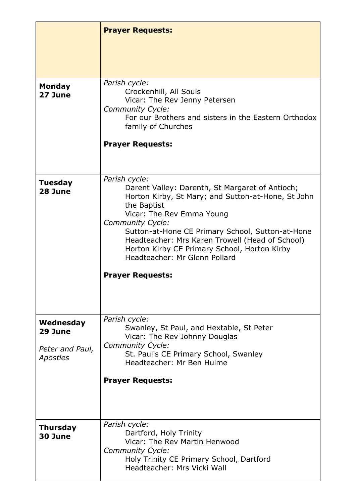|                                    | <b>Prayer Requests:</b>                                                                                                                                                                                                                                                                                                                                                                                          |
|------------------------------------|------------------------------------------------------------------------------------------------------------------------------------------------------------------------------------------------------------------------------------------------------------------------------------------------------------------------------------------------------------------------------------------------------------------|
|                                    |                                                                                                                                                                                                                                                                                                                                                                                                                  |
|                                    |                                                                                                                                                                                                                                                                                                                                                                                                                  |
| <b>Monday</b><br>27 June           | Parish cycle:<br>Crockenhill, All Souls<br>Vicar: The Rev Jenny Petersen<br><b>Community Cycle:</b><br>For our Brothers and sisters in the Eastern Orthodox<br>family of Churches<br><b>Prayer Requests:</b>                                                                                                                                                                                                     |
| <b>Tuesday</b><br>28 June          | Parish cycle:<br>Darent Valley: Darenth, St Margaret of Antioch;<br>Horton Kirby, St Mary; and Sutton-at-Hone, St John<br>the Baptist<br>Vicar: The Rev Emma Young<br><b>Community Cycle:</b><br>Sutton-at-Hone CE Primary School, Sutton-at-Hone<br>Headteacher: Mrs Karen Trowell (Head of School)<br>Horton Kirby CE Primary School, Horton Kirby<br>Headteacher: Mr Glenn Pollard<br><b>Prayer Requests:</b> |
| Wednesday<br>29 June               | Parish cycle:<br>Swanley, St Paul, and Hextable, St Peter<br>Vicar: The Rev Johnny Douglas                                                                                                                                                                                                                                                                                                                       |
| Peter and Paul,<br><b>Apostles</b> | <b>Community Cycle:</b><br>St. Paul's CE Primary School, Swanley<br>Headteacher: Mr Ben Hulme                                                                                                                                                                                                                                                                                                                    |
|                                    | <b>Prayer Requests:</b>                                                                                                                                                                                                                                                                                                                                                                                          |
| <b>Thursday</b><br>30 June         | Parish cycle:<br>Dartford, Holy Trinity<br>Vicar: The Rev Martin Henwood<br>Community Cycle:<br>Holy Trinity CE Primary School, Dartford<br>Headteacher: Mrs Vicki Wall                                                                                                                                                                                                                                          |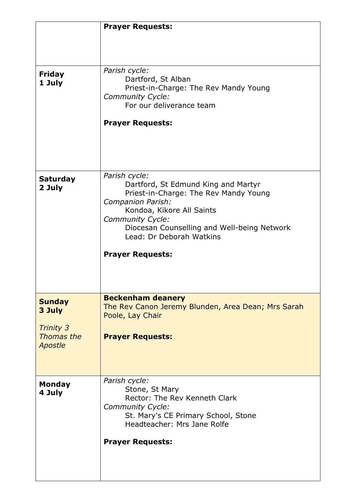|                         | <b>Prayer Requests:</b>                                   |
|-------------------------|-----------------------------------------------------------|
|                         |                                                           |
|                         |                                                           |
|                         |                                                           |
| <b>Friday</b><br>1 July | Parish cycle:<br>Dartford, St Alban                       |
|                         | Priest-in-Charge: The Rev Mandy Young<br>Community Cycle: |
|                         | For our deliverance team                                  |
|                         |                                                           |
|                         | <b>Prayer Requests:</b>                                   |
|                         |                                                           |
|                         |                                                           |
|                         |                                                           |
|                         |                                                           |
| <b>Saturday</b>         | Parish cycle:                                             |
| 2 July                  | Dartford, St Edmund King and Martyr                       |
|                         | Priest-in-Charge: The Rev Mandy Young                     |
|                         | Companion Parish:                                         |
|                         | Kondoa, Kikore All Saints<br>Community Cycle:             |
|                         | Diocesan Counselling and Well-being Network               |
|                         | Lead: Dr Deborah Watkins                                  |
|                         |                                                           |
|                         | <b>Prayer Requests:</b>                                   |
|                         |                                                           |
|                         |                                                           |
|                         |                                                           |
|                         | <b>Beckenham deanery</b>                                  |
| <b>Sunday</b>           | The Rev Canon Jeremy Blunden, Area Dean; Mrs Sarah        |
| 3 July                  | Poole, Lay Chair                                          |
| <b>Trinity 3</b>        |                                                           |
| Thomas the              | <b>Prayer Requests:</b>                                   |
| <b>Apostle</b>          |                                                           |
|                         |                                                           |
|                         |                                                           |
|                         |                                                           |
| <b>Monday</b>           | Parish cycle:<br>Stone, St Mary                           |
| 4 July                  | Rector: The Rev Kenneth Clark                             |
|                         | Community Cycle:                                          |
|                         | St. Mary's CE Primary School, Stone                       |
|                         | Headteacher: Mrs Jane Rolfe                               |
|                         |                                                           |
|                         | <b>Prayer Requests:</b>                                   |
|                         |                                                           |
|                         |                                                           |
|                         |                                                           |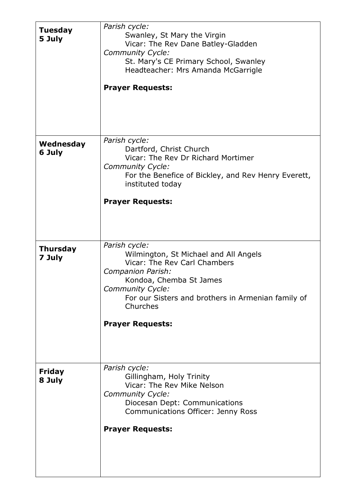| <b>Tuesday</b><br>5 July  | Parish cycle:<br>Swanley, St Mary the Virgin<br>Vicar: The Rev Dane Batley-Gladden<br>Community Cycle:<br>St. Mary's CE Primary School, Swanley<br>Headteacher: Mrs Amanda McGarrigle<br><b>Prayer Requests:</b>             |
|---------------------------|------------------------------------------------------------------------------------------------------------------------------------------------------------------------------------------------------------------------------|
|                           |                                                                                                                                                                                                                              |
| Wednesday<br>6 July       | Parish cycle:<br>Dartford, Christ Church<br>Vicar: The Rev Dr Richard Mortimer<br><b>Community Cycle:</b><br>For the Benefice of Bickley, and Rev Henry Everett,<br>instituted today                                         |
|                           | <b>Prayer Requests:</b>                                                                                                                                                                                                      |
| <b>Thursday</b><br>7 July | Parish cycle:<br>Wilmington, St Michael and All Angels<br>Vicar: The Rev Carl Chambers<br>Companion Parish:<br>Kondoa, Chemba St James<br>Community Cycle:<br>For our Sisters and brothers in Armenian family of<br>Churches |
|                           | <b>Prayer Requests:</b>                                                                                                                                                                                                      |
| <b>Friday</b><br>8 July   | Parish cycle:<br>Gillingham, Holy Trinity<br>Vicar: The Rev Mike Nelson<br>Community Cycle:<br>Diocesan Dept: Communications<br>Communications Officer: Jenny Ross                                                           |
|                           | <b>Prayer Requests:</b>                                                                                                                                                                                                      |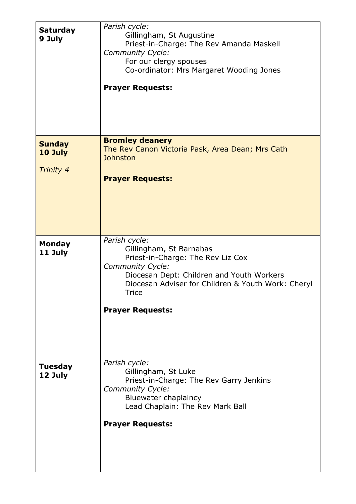| <b>Saturday</b><br>9 July                    | Parish cycle:<br>Gillingham, St Augustine<br>Priest-in-Charge: The Rev Amanda Maskell<br><b>Community Cycle:</b><br>For our clergy spouses<br>Co-ordinator: Mrs Margaret Wooding Jones<br><b>Prayer Requests:</b>              |
|----------------------------------------------|--------------------------------------------------------------------------------------------------------------------------------------------------------------------------------------------------------------------------------|
| <b>Sunday</b><br>10 July<br><b>Trinity 4</b> | <b>Bromley deanery</b><br>The Rev Canon Victoria Pask, Area Dean; Mrs Cath<br>Johnston<br><b>Prayer Requests:</b><br>Parish cycle:                                                                                             |
| <b>Monday</b><br>11 July                     | Gillingham, St Barnabas<br>Priest-in-Charge: The Rev Liz Cox<br>Community Cycle:<br>Diocesan Dept: Children and Youth Workers<br>Diocesan Adviser for Children & Youth Work: Cheryl<br><b>Trice</b><br><b>Prayer Requests:</b> |
| <b>Tuesday</b><br>12 July                    | Parish cycle:<br>Gillingham, St Luke<br>Priest-in-Charge: The Rev Garry Jenkins<br><b>Community Cycle:</b><br><b>Bluewater chaplaincy</b><br>Lead Chaplain: The Rev Mark Ball<br><b>Prayer Requests:</b>                       |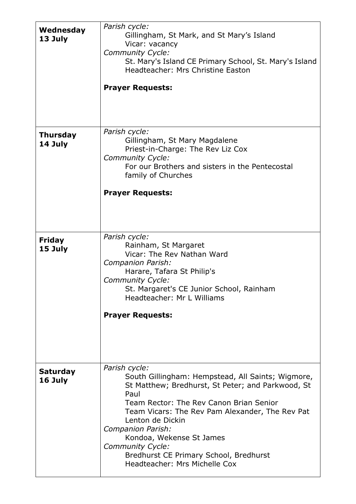| Wednesday<br>13 July       | Parish cycle:<br>Gillingham, St Mark, and St Mary's Island<br>Vicar: vacancy<br>Community Cycle:<br>St. Mary's Island CE Primary School, St. Mary's Island<br>Headteacher: Mrs Christine Easton<br><b>Prayer Requests:</b>                                                                                                                                                                        |
|----------------------------|---------------------------------------------------------------------------------------------------------------------------------------------------------------------------------------------------------------------------------------------------------------------------------------------------------------------------------------------------------------------------------------------------|
| <b>Thursday</b><br>14 July | Parish cycle:<br>Gillingham, St Mary Magdalene<br>Priest-in-Charge: The Rev Liz Cox<br><b>Community Cycle:</b><br>For our Brothers and sisters in the Pentecostal<br>family of Churches<br><b>Prayer Requests:</b>                                                                                                                                                                                |
| <b>Friday</b><br>15 July   | Parish cycle:<br>Rainham, St Margaret<br>Vicar: The Rev Nathan Ward<br>Companion Parish:<br>Harare, Tafara St Philip's<br><b>Community Cycle:</b><br>St. Margaret's CE Junior School, Rainham<br>Headteacher: Mr L Williams<br><b>Prayer Requests:</b>                                                                                                                                            |
| <b>Saturday</b><br>16 July | Parish cycle:<br>South Gillingham: Hempstead, All Saints; Wigmore,<br>St Matthew; Bredhurst, St Peter; and Parkwood, St<br>Paul<br>Team Rector: The Rev Canon Brian Senior<br>Team Vicars: The Rev Pam Alexander, The Rev Pat<br>Lenton de Dickin<br>Companion Parish:<br>Kondoa, Wekense St James<br>Community Cycle:<br>Bredhurst CE Primary School, Bredhurst<br>Headteacher: Mrs Michelle Cox |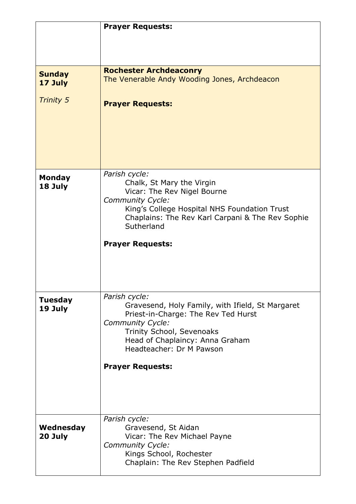|                          | <b>Prayer Requests:</b>                                                                          |
|--------------------------|--------------------------------------------------------------------------------------------------|
|                          |                                                                                                  |
|                          |                                                                                                  |
|                          |                                                                                                  |
|                          | <b>Rochester Archdeaconry</b>                                                                    |
| <b>Sunday</b><br>17 July | The Venerable Andy Wooding Jones, Archdeacon                                                     |
|                          |                                                                                                  |
| <b>Trinity 5</b>         | <b>Prayer Requests:</b>                                                                          |
|                          |                                                                                                  |
|                          |                                                                                                  |
|                          |                                                                                                  |
|                          |                                                                                                  |
|                          |                                                                                                  |
|                          |                                                                                                  |
|                          | Parish cycle:                                                                                    |
| <b>Monday</b><br>18 July | Chalk, St Mary the Virgin                                                                        |
|                          | Vicar: The Rev Nigel Bourne                                                                      |
|                          | Community Cycle:                                                                                 |
|                          | King's College Hospital NHS Foundation Trust<br>Chaplains: The Rev Karl Carpani & The Rev Sophie |
|                          | Sutherland                                                                                       |
|                          |                                                                                                  |
|                          | <b>Prayer Requests:</b>                                                                          |
|                          |                                                                                                  |
|                          |                                                                                                  |
|                          |                                                                                                  |
|                          |                                                                                                  |
| <b>Tuesday</b>           | Parish cycle:                                                                                    |
| 19 July                  | Gravesend, Holy Family, with Ifield, St Margaret                                                 |
|                          | Priest-in-Charge: The Rev Ted Hurst                                                              |
|                          | Community Cycle:<br>Trinity School, Sevenoaks                                                    |
|                          | Head of Chaplaincy: Anna Graham                                                                  |
|                          | Headteacher: Dr M Pawson                                                                         |
|                          |                                                                                                  |
|                          | <b>Prayer Requests:</b>                                                                          |
|                          |                                                                                                  |
|                          |                                                                                                  |
|                          |                                                                                                  |
|                          |                                                                                                  |
|                          | Parish cycle:                                                                                    |
| Wednesday                | Gravesend, St Aidan                                                                              |
| 20 July                  | Vicar: The Rev Michael Payne<br>Community Cycle:                                                 |
|                          | Kings School, Rochester                                                                          |
|                          | Chaplain: The Rev Stephen Padfield                                                               |
|                          |                                                                                                  |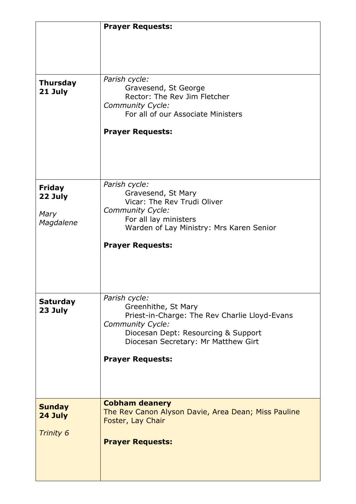|                 | <b>Prayer Requests:</b>                                                    |
|-----------------|----------------------------------------------------------------------------|
|                 |                                                                            |
|                 |                                                                            |
|                 |                                                                            |
|                 |                                                                            |
| <b>Thursday</b> | Parish cycle:<br>Gravesend, St George                                      |
| 21 July         | Rector: The Rev Jim Fletcher                                               |
|                 | Community Cycle:                                                           |
|                 | For all of our Associate Ministers                                         |
|                 | <b>Prayer Requests:</b>                                                    |
|                 |                                                                            |
|                 |                                                                            |
|                 |                                                                            |
|                 |                                                                            |
| <b>Friday</b>   | Parish cycle:                                                              |
| 22 July         | Gravesend, St Mary                                                         |
|                 | Vicar: The Rev Trudi Oliver                                                |
| Mary            | Community Cycle:<br>For all lay ministers                                  |
| Magdalene       | Warden of Lay Ministry: Mrs Karen Senior                                   |
|                 |                                                                            |
|                 | <b>Prayer Requests:</b>                                                    |
|                 |                                                                            |
|                 |                                                                            |
|                 |                                                                            |
|                 | Parish cycle:                                                              |
| <b>Saturday</b> | Greenhithe, St Mary                                                        |
| 23 July         | Priest-in-Charge: The Rev Charlie Lloyd-Evans                              |
|                 | Community Cycle:                                                           |
|                 | Diocesan Dept: Resourcing & Support<br>Diocesan Secretary: Mr Matthew Girt |
|                 |                                                                            |
|                 | <b>Prayer Requests:</b>                                                    |
|                 |                                                                            |
|                 |                                                                            |
|                 |                                                                            |
| <b>Sunday</b>   | <b>Cobham deanery</b>                                                      |
| 24 July         | The Rev Canon Alyson Davie, Area Dean; Miss Pauline                        |
|                 | Foster, Lay Chair                                                          |
| Trinity 6       |                                                                            |
|                 | <b>Prayer Requests:</b>                                                    |
|                 |                                                                            |
|                 |                                                                            |
|                 |                                                                            |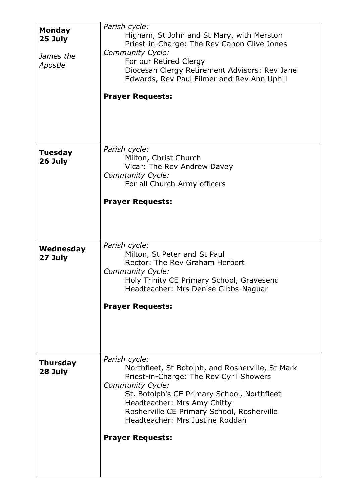| <b>Monday</b><br>25 July<br>James the<br>Apostle | Parish cycle:<br>Higham, St John and St Mary, with Merston<br>Priest-in-Charge: The Rev Canon Clive Jones<br>Community Cycle:<br>For our Retired Clergy<br>Diocesan Clergy Retirement Advisors: Rev Jane<br>Edwards, Rev Paul Filmer and Rev Ann Uphill                                                                           |
|--------------------------------------------------|-----------------------------------------------------------------------------------------------------------------------------------------------------------------------------------------------------------------------------------------------------------------------------------------------------------------------------------|
|                                                  | <b>Prayer Requests:</b>                                                                                                                                                                                                                                                                                                           |
| <b>Tuesday</b><br>26 July                        | Parish cycle:<br>Milton, Christ Church<br>Vicar: The Rev Andrew Davey<br>Community Cycle:<br>For all Church Army officers<br><b>Prayer Requests:</b>                                                                                                                                                                              |
| Wednesday<br>27 July                             | Parish cycle:<br>Milton, St Peter and St Paul<br>Rector: The Rev Graham Herbert<br>Community Cycle:<br>Holy Trinity CE Primary School, Gravesend<br>Headteacher: Mrs Denise Gibbs-Naguar<br><b>Prayer Requests:</b>                                                                                                               |
| <b>Thursday</b><br>28 July                       | Parish cycle:<br>Northfleet, St Botolph, and Rosherville, St Mark<br>Priest-in-Charge: The Rev Cyril Showers<br><b>Community Cycle:</b><br>St. Botolph's CE Primary School, Northfleet<br>Headteacher: Mrs Amy Chitty<br>Rosherville CE Primary School, Rosherville<br>Headteacher: Mrs Justine Roddan<br><b>Prayer Requests:</b> |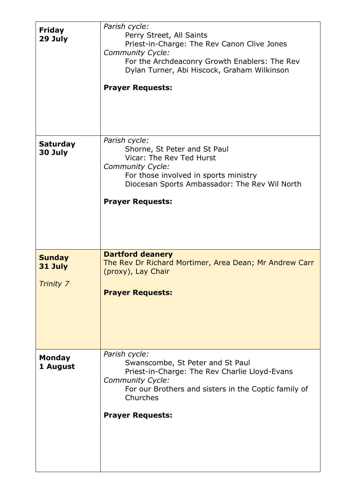| Friday<br>29 July                     | Parish cycle:<br>Perry Street, All Saints<br>Priest-in-Charge: The Rev Canon Clive Jones<br>Community Cycle:<br>For the Archdeaconry Growth Enablers: The Rev<br>Dylan Turner, Abi Hiscock, Graham Wilkinson<br><b>Prayer Requests:</b> |
|---------------------------------------|-----------------------------------------------------------------------------------------------------------------------------------------------------------------------------------------------------------------------------------------|
| <b>Saturday</b><br>30 July            | Parish cycle:<br>Shorne, St Peter and St Paul<br>Vicar: The Rev Ted Hurst<br>Community Cycle:<br>For those involved in sports ministry<br>Diocesan Sports Ambassador: The Rev Wil North<br><b>Prayer Requests:</b>                      |
| <b>Sunday</b><br>31 July<br>Trinity 7 | <b>Dartford deanery</b><br>The Rev Dr Richard Mortimer, Area Dean; Mr Andrew Carr<br>(proxy), Lay Chair<br><b>Prayer Requests:</b>                                                                                                      |
| <b>Monday</b><br>1 August             | Parish cycle:<br>Swanscombe, St Peter and St Paul<br>Priest-in-Charge: The Rev Charlie Lloyd-Evans<br>Community Cycle:<br>For our Brothers and sisters in the Coptic family of<br>Churches<br><b>Prayer Requests:</b>                   |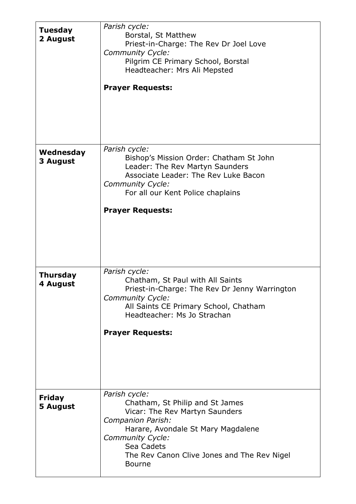| <b>Tuesday</b><br>2 August       | Parish cycle:<br>Borstal, St Matthew<br>Priest-in-Charge: The Rev Dr Joel Love<br>Community Cycle:<br>Pilgrim CE Primary School, Borstal<br>Headteacher: Mrs Ali Mepsted<br><b>Prayer Requests:</b>                                                    |
|----------------------------------|--------------------------------------------------------------------------------------------------------------------------------------------------------------------------------------------------------------------------------------------------------|
| Wednesday<br>3 August            | Parish cycle:<br>Bishop's Mission Order: Chatham St John<br>Leader: The Rev Martyn Saunders<br>Associate Leader: The Rev Luke Bacon<br>Community Cycle:<br>For all our Kent Police chaplains<br><b>Prayer Requests:</b>                                |
| <b>Thursday</b><br>4 August      | Parish cycle:<br>Chatham, St Paul with All Saints<br>Priest-in-Charge: The Rev Dr Jenny Warrington<br>Community Cycle:<br>All Saints CE Primary School, Chatham<br>Headteacher: Ms Jo Strachan<br><b>Prayer Requests:</b>                              |
| <b>Friday</b><br><b>5 August</b> | Parish cycle:<br>Chatham, St Philip and St James<br>Vicar: The Rev Martyn Saunders<br>Companion Parish:<br>Harare, Avondale St Mary Magdalene<br><b>Community Cycle:</b><br>Sea Cadets<br>The Rev Canon Clive Jones and The Rev Nigel<br><b>Bourne</b> |